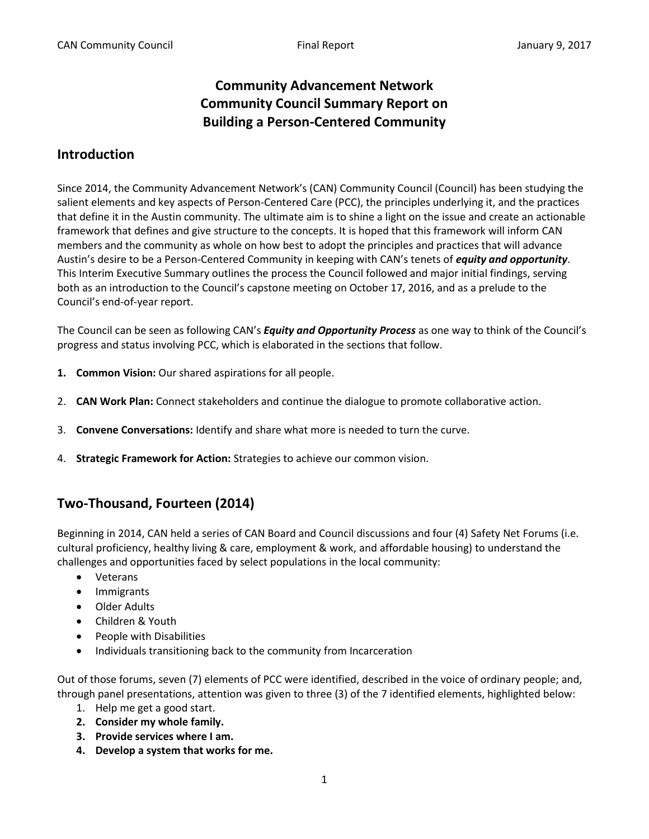# **Community Advancement Network Community Council Summary Report on Building a Person-Centered Community**

## **Introduction**

Since 2014, the Community Advancement Network's (CAN) Community Council (Council) has been studying the salient elements and key aspects of Person-Centered Care (PCC), the principles underlying it, and the practices that define it in the Austin community. The ultimate aim is to shine a light on the issue and create an actionable framework that defines and give structure to the concepts. It is hoped that this framework will inform CAN members and the community as whole on how best to adopt the principles and practices that will advance Austin's desire to be a Person-Centered Community in keeping with CAN's tenets of *equity and opportunity*. This Interim Executive Summary outlines the process the Council followed and major initial findings, serving both as an introduction to the Council's capstone meeting on October 17, 2016, and as a prelude to the Council's end-of-year report.

The Council can be seen as following CAN's *Equity and Opportunity Process* as one way to think of the Council's progress and status involving PCC, which is elaborated in the sections that follow.

- **1. Common Vision:** Our shared aspirations for all people.
- 2. **CAN Work Plan:** Connect stakeholders and continue the dialogue to promote collaborative action.
- 3. **Convene Conversations:** Identify and share what more is needed to turn the curve.
- 4. **Strategic Framework for Action:** Strategies to achieve our common vision.

## **Two-Thousand, Fourteen (2014)**

Beginning in 2014, CAN held a series of CAN Board and Council discussions and four (4) Safety Net Forums (i.e. cultural proficiency, healthy living & care, employment & work, and affordable housing) to understand the challenges and opportunities faced by select populations in the local community:

- Veterans
- Immigrants
- Older Adults
- Children & Youth
- People with Disabilities
- Individuals transitioning back to the community from Incarceration

Out of those forums, seven (7) elements of PCC were identified, described in the voice of ordinary people; and, through panel presentations, attention was given to three (3) of the 7 identified elements, highlighted below:

- 1. Help me get a good start.
- **2. Consider my whole family.**
- **3. Provide services where I am.**
- **4. Develop a system that works for me.**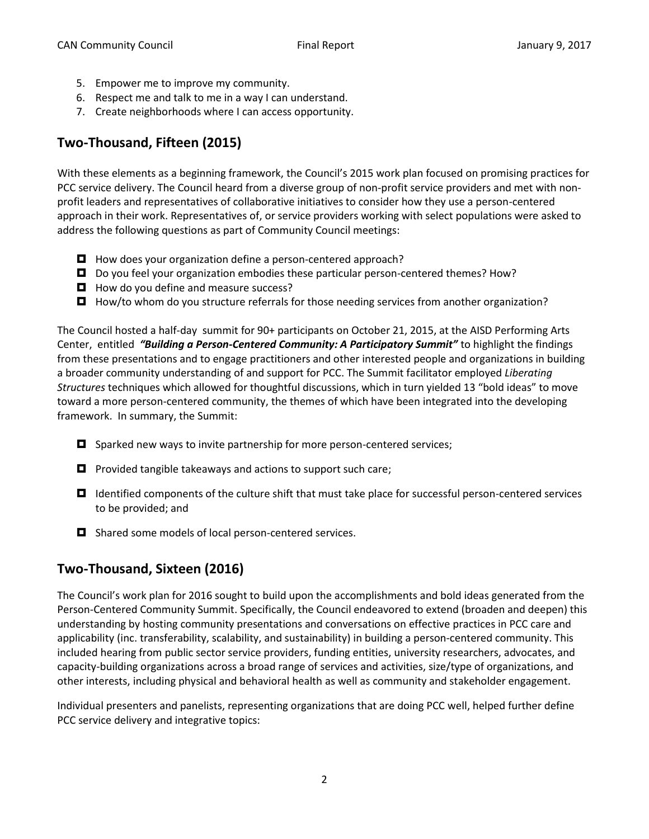- 5. Empower me to improve my community.
- 6. Respect me and talk to me in a way I can understand.
- 7. Create neighborhoods where I can access opportunity.

# **Two-Thousand, Fifteen (2015)**

With these elements as a beginning framework, the Council's 2015 work plan focused on promising practices for PCC service delivery. The Council heard from a diverse group of non-profit service providers and met with nonprofit leaders and representatives of collaborative initiatives to consider how they use a person-centered approach in their work. Representatives of, or service providers working with select populations were asked to address the following questions as part of Community Council meetings:

- $\blacksquare$  How does your organization define a person-centered approach?
- Do you feel your organization embodies these particular person-centered themes? How?
- $\Box$  How do you define and measure success?
- $\Box$  How/to whom do you structure referrals for those needing services from another organization?

The Council hosted a half-day summit for 90+ participants on October 21, 2015, at the AISD Performing Arts Center, entitled *"Building a Person-Centered Community: A Participatory Summit"* to highlight the findings from these presentations and to engage practitioners and other interested people and organizations in building a broader community understanding of and support for PCC. The Summit facilitator employed *Liberating Structures* techniques which allowed for thoughtful discussions, which in turn yielded 13 "bold ideas" to move toward a more person-centered community, the themes of which have been integrated into the developing framework. In summary, the Summit:

- $\Box$  Sparked new ways to invite partnership for more person-centered services;
- $\Box$  Provided tangible takeaways and actions to support such care;
- $\Box$  Identified components of the culture shift that must take place for successful person-centered services to be provided; and
- Shared some models of local person-centered services.

# **Two-Thousand, Sixteen (2016)**

The Council's work plan for 2016 sought to build upon the accomplishments and bold ideas generated from the Person-Centered Community Summit. Specifically, the Council endeavored to extend (broaden and deepen) this understanding by hosting community presentations and conversations on effective practices in PCC care and applicability (inc. transferability, scalability, and sustainability) in building a person-centered community. This included hearing from public sector service providers, funding entities, university researchers, advocates, and capacity-building organizations across a broad range of services and activities, size/type of organizations, and other interests, including physical and behavioral health as well as community and stakeholder engagement.

Individual presenters and panelists, representing organizations that are doing PCC well, helped further define PCC service delivery and integrative topics: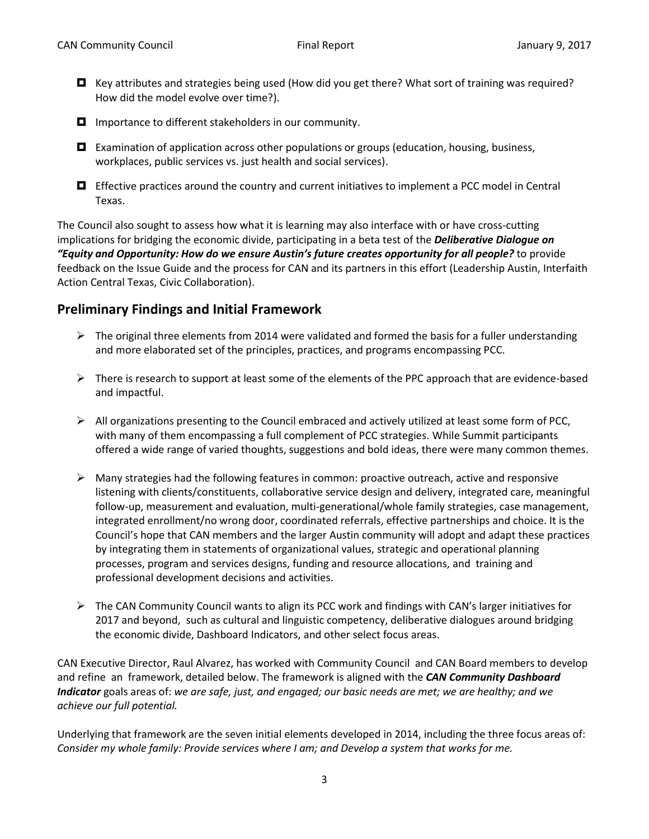- $\Box$  Key attributes and strategies being used (How did you get there? What sort of training was required? How did the model evolve over time?).
- $\blacksquare$  Importance to different stakeholders in our community.
- Examination of application across other populations or groups (education, housing, business, workplaces, public services vs. just health and social services).
- $\Box$  Effective practices around the country and current initiatives to implement a PCC model in Central Texas.

The Council also sought to assess how what it is learning may also interface with or have cross-cutting implications for bridging the economic divide, participating in a beta test of the *Deliberative Dialogue on "Equity and Opportunity: How do we ensure Austin's future creates opportunity for all people?* to provide feedback on the Issue Guide and the process for CAN and its partners in this effort (Leadership Austin, Interfaith Action Central Texas, Civic Collaboration).

#### **Preliminary Findings and Initial Framework**

- $\triangleright$  The original three elements from 2014 were validated and formed the basis for a fuller understanding and more elaborated set of the principles, practices, and programs encompassing PCC.
- $\triangleright$  There is research to support at least some of the elements of the PPC approach that are evidence-based and impactful.
- $\triangleright$  All organizations presenting to the Council embraced and actively utilized at least some form of PCC, with many of them encompassing a full complement of PCC strategies. While Summit participants offered a wide range of varied thoughts, suggestions and bold ideas, there were many common themes.
- $\triangleright$  Many strategies had the following features in common: proactive outreach, active and responsive listening with clients/constituents, collaborative service design and delivery, integrated care, meaningful follow-up, measurement and evaluation, multi-generational/whole family strategies, case management, integrated enrollment/no wrong door, coordinated referrals, effective partnerships and choice. It is the Council's hope that CAN members and the larger Austin community will adopt and adapt these practices by integrating them in statements of organizational values, strategic and operational planning processes, program and services designs, funding and resource allocations, and training and professional development decisions and activities.
- $\triangleright$  The CAN Community Council wants to align its PCC work and findings with CAN's larger initiatives for 2017 and beyond, such as cultural and linguistic competency, deliberative dialogues around bridging the economic divide, Dashboard Indicators, and other select focus areas.

CAN Executive Director, Raul Alvarez, has worked with Community Council and CAN Board members to develop and refine an framework, detailed below. The framework is aligned with the *CAN Community Dashboard Indicator* goals areas of: *we are safe, just, and engaged; our basic needs are met; we are healthy; and we achieve our full potential.*

Underlying that framework are the seven initial elements developed in 2014, including the three focus areas of: *Consider my whole family: Provide services where I am; and Develop a system that works for me.*